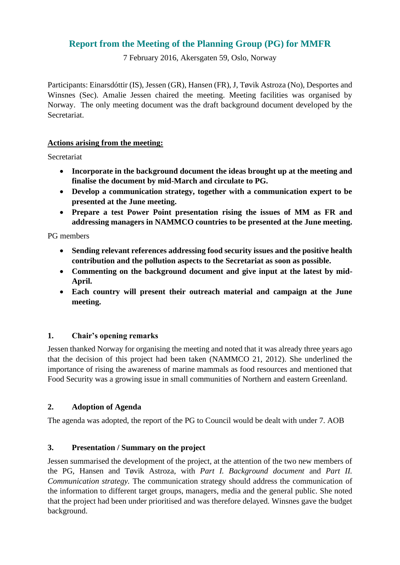# **Report from the Meeting of the Planning Group (PG) for MMFR**

7 February 2016, Akersgaten 59, Oslo, Norway

Participants: Einarsdóttir (IS), Jessen (GR), Hansen (FR), J, Tøvik Astroza (No), Desportes and Winsnes (Sec). Amalie Jessen chaired the meeting. Meeting facilities was organised by Norway. The only meeting document was the draft background document developed by the Secretariat.

#### **Actions arising from the meeting:**

Secretariat

- **Incorporate in the background document the ideas brought up at the meeting and finalise the document by mid-March and circulate to PG.**
- **Develop a communication strategy, together with a communication expert to be presented at the June meeting.**
- **Prepare a test Power Point presentation rising the issues of MM as FR and addressing managers in NAMMCO countries to be presented at the June meeting.**

PG members

- **Sending relevant references addressing food security issues and the positive health contribution and the pollution aspects to the Secretariat as soon as possible.**
- **Commenting on the background document and give input at the latest by mid-April.**
- **Each country will present their outreach material and campaign at the June meeting.**

#### **1. Chair's opening remarks**

Jessen thanked Norway for organising the meeting and noted that it was already three years ago that the decision of this project had been taken (NAMMCO 21, 2012). She underlined the importance of rising the awareness of marine mammals as food resources and mentioned that Food Security was a growing issue in small communities of Northern and eastern Greenland.

#### **2. Adoption of Agenda**

The agenda was adopted, the report of the PG to Council would be dealt with under 7. AOB

#### **3. Presentation / Summary on the project**

Jessen summarised the development of the project, at the attention of the two new members of the PG, Hansen and Tøvik Astroza, with *Part I. Background document* and *Part II. Communication strategy.* The communication strategy should address the communication of the information to different target groups, managers, media and the general public. She noted that the project had been under prioritised and was therefore delayed. Winsnes gave the budget background.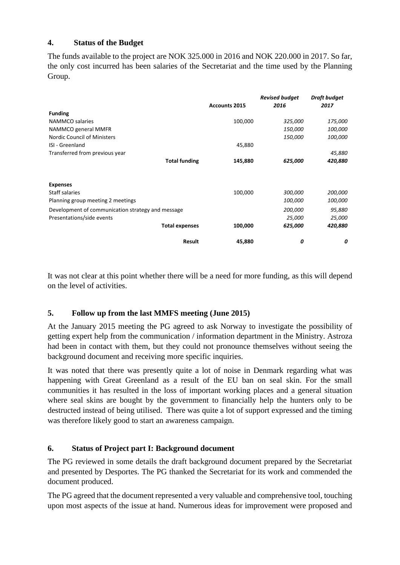#### **4. Status of the Budget**

The funds available to the project are NOK 325.000 in 2016 and NOK 220.000 in 2017. So far, the only cost incurred has been salaries of the Secretariat and the time used by the Planning Group.

|                                                   | <b>Accounts 2015</b> | <b>Revised budget</b><br>2016 | Draft budget<br>2017 |
|---------------------------------------------------|----------------------|-------------------------------|----------------------|
| <b>Funding</b>                                    |                      |                               |                      |
| NAMMCO salaries                                   | 100,000              | 325,000                       | 175,000              |
| NAMMCO general MMFR                               |                      | 150,000                       | 100,000              |
| <b>Nordic Council of Ministers</b>                |                      | 150,000                       | 100,000              |
| ISI - Greenland                                   | 45,880               |                               |                      |
| Transferred from previous year                    |                      |                               | 45,880               |
| <b>Total funding</b>                              | 145,880              | 625,000                       | 420,880              |
| <b>Expenses</b>                                   |                      |                               |                      |
| Staff salaries                                    | 100,000              | 300,000                       | 200,000              |
| Planning group meeting 2 meetings                 |                      | 100,000                       | 100,000              |
| Development of communication strategy and message |                      | 200,000                       | 95,880               |
| Presentations/side events                         |                      | 25,000                        | 25,000               |
| <b>Total expenses</b>                             | 100,000              | 625,000                       | 420,880              |
| <b>Result</b>                                     | 45,880               | 0                             | 0                    |

It was not clear at this point whether there will be a need for more funding, as this will depend on the level of activities.

#### **5. Follow up from the last MMFS meeting (June 2015)**

At the January 2015 meeting the PG agreed to ask Norway to investigate the possibility of getting expert help from the communication / information department in the Ministry. Astroza had been in contact with them, but they could not pronounce themselves without seeing the background document and receiving more specific inquiries.

It was noted that there was presently quite a lot of noise in Denmark regarding what was happening with Great Greenland as a result of the EU ban on seal skin. For the small communities it has resulted in the loss of important working places and a general situation where seal skins are bought by the government to financially help the hunters only to be destructed instead of being utilised. There was quite a lot of support expressed and the timing was therefore likely good to start an awareness campaign.

### **6. Status of Project part I: Background document**

The PG reviewed in some details the draft background document prepared by the Secretariat and presented by Desportes. The PG thanked the Secretariat for its work and commended the document produced.

The PG agreed that the document represented a very valuable and comprehensive tool, touching upon most aspects of the issue at hand. Numerous ideas for improvement were proposed and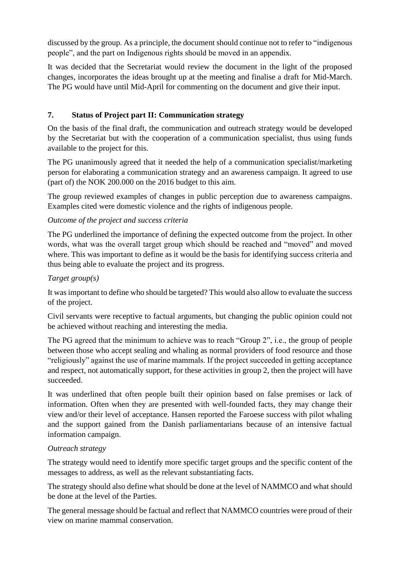discussed by the group. As a principle, the document should continue not to refer to "indigenous people", and the part on Indigenous rights should be moved in an appendix.

It was decided that the Secretariat would review the document in the light of the proposed changes, incorporates the ideas brought up at the meeting and finalise a draft for Mid-March. The PG would have until Mid-April for commenting on the document and give their input.

### **7. Status of Project part II: Communication strategy**

On the basis of the final draft, the communication and outreach strategy would be developed by the Secretariat but with the cooperation of a communication specialist, thus using funds available to the project for this.

The PG unanimously agreed that it needed the help of a communication specialist/marketing person for elaborating a communication strategy and an awareness campaign. It agreed to use (part of) the NOK 200.000 on the 2016 budget to this aim.

The group reviewed examples of changes in public perception due to awareness campaigns. Examples cited were domestic violence and the rights of indigenous people.

### *Outcome of the project and success criteria*

The PG underlined the importance of defining the expected outcome from the project. In other words, what was the overall target group which should be reached and "moved" and moved where. This was important to define as it would be the basis for identifying success criteria and thus being able to evaluate the project and its progress.

## *Target group(s)*

It was important to define who should be targeted? This would also allow to evaluate the success of the project.

Civil servants were receptive to factual arguments, but changing the public opinion could not be achieved without reaching and interesting the media.

The PG agreed that the minimum to achieve was to reach "Group 2", i.e., the group of people between those who accept sealing and whaling as normal providers of food resource and those "religiously" against the use of marine mammals. If the project succeeded in getting acceptance and respect, not automatically support, for these activities in group 2, then the project will have succeeded.

It was underlined that often people built their opinion based on false premises or lack of information. Often when they are presented with well-founded facts, they may change their view and/or their level of acceptance. Hansen reported the Faroese success with pilot whaling and the support gained from the Danish parliamentarians because of an intensive factual information campaign.

### *Outreach strategy*

The strategy would need to identify more specific target groups and the specific content of the messages to address, as well as the relevant substantiating facts.

The strategy should also define what should be done at the level of NAMMCO and what should be done at the level of the Parties.

The general message should be factual and reflect that NAMMCO countries were proud of their view on marine mammal conservation.